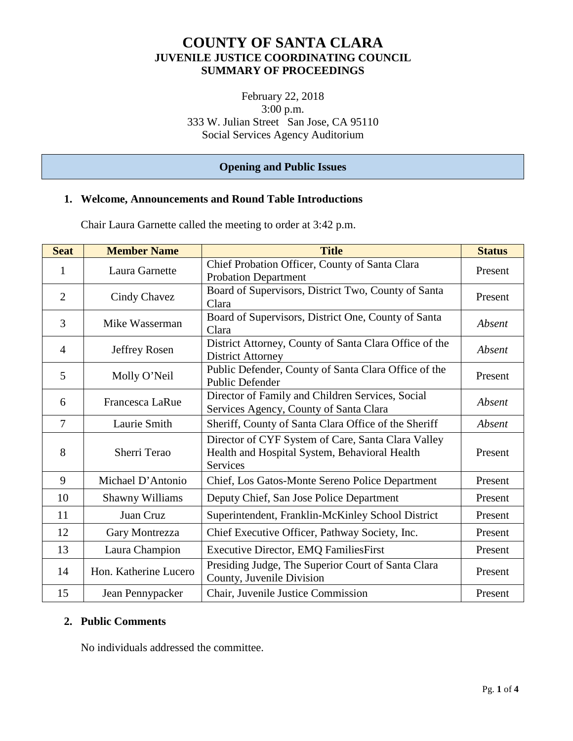# **COUNTY OF SANTA CLARA JUVENILE JUSTICE COORDINATING COUNCIL SUMMARY OF PROCEEDINGS**

February 22, 2018 3:00 p.m. 333 W. Julian Street San Jose, CA 95110 Social Services Agency Auditorium

## **Opening and Public Issues**

#### **1. Welcome, Announcements and Round Table Introductions**

**Seat Member Name Title Status** 1 Laura Garnette Chief Probation Officer, County of Santa Clara Probation Department Probation Department 2 Cindy Chavez Board of Supervisors, District Two, County of Santa Present 3 Mike Wasserman Board of Supervisors, District One, County of Santa *Absent* 4 Jeffrey Rosen District Attorney, County of Santa Clara Office of the District Attorney *Absent*  5 Molly O'Neil Public Defender, County of Santa Clara Office of the Present Director of Family and Children Services, Social

Chair Laura Garnette called the meeting to order at 3:42 p.m.

| 6  | Francesca LaRue        | DIFECTOR OF FRIHITY AND CHINITEN SERVICES, SOCIAL<br>Services Agency, County of Santa Clara                     | Absent  |
|----|------------------------|-----------------------------------------------------------------------------------------------------------------|---------|
| 7  | Laurie Smith           | Sheriff, County of Santa Clara Office of the Sheriff                                                            | Absent  |
| 8  | Sherri Terao           | Director of CYF System of Care, Santa Clara Valley<br>Health and Hospital System, Behavioral Health<br>Services | Present |
| 9  | Michael D'Antonio      | Chief, Los Gatos-Monte Sereno Police Department                                                                 | Present |
| 10 | <b>Shawny Williams</b> | Deputy Chief, San Jose Police Department                                                                        | Present |
| 11 | Juan Cruz              | Superintendent, Franklin-McKinley School District                                                               | Present |
| 12 | Gary Montrezza         | Chief Executive Officer, Pathway Society, Inc.                                                                  | Present |
| 13 | Laura Champion         | <b>Executive Director, EMQ FamiliesFirst</b>                                                                    | Present |
| 14 | Hon. Katherine Lucero  | Presiding Judge, The Superior Court of Santa Clara<br>County, Juvenile Division                                 | Present |
| 15 | Jean Pennypacker       | Chair, Juvenile Justice Commission                                                                              | Present |

## **2. Public Comments**

No individuals addressed the committee.